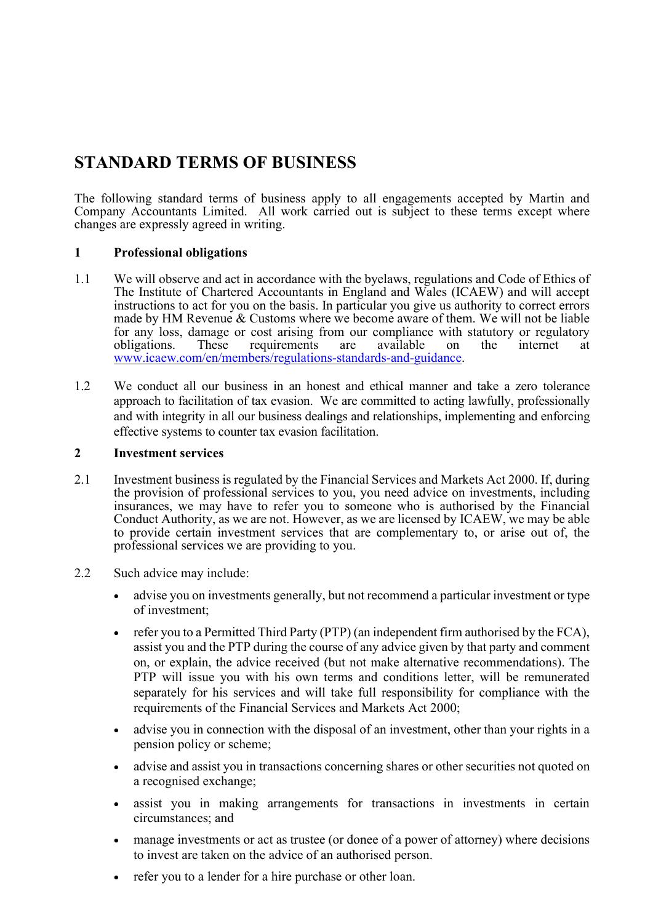# STANDARD TERMS OF BUSINESS

The following standard terms of business apply to all engagements accepted by Martin and Company Accountants Limited. All work carried out is subject to these terms except where changes are expressly agreed in writing.

## 1 Professional obligations

- 1.1 We will observe and act in accordance with the byelaws, regulations and Code of Ethics of The Institute of Chartered Accountants in England and Wales (ICAEW) and will accept instructions to act for you on the basis. In particular you give us authority to correct errors made by HM Revenue & Customs where we become aware of them. We will not be liable for any loss, damage or cost arising from our compliance with statutory or regulatory obligations. These requirements are available on the internet at www.icaew.com/en/members/regulations-standards-and-guidance.
- 1.2 We conduct all our business in an honest and ethical manner and take a zero tolerance approach to facilitation of tax evasion. We are committed to acting lawfully, professionally and with integrity in all our business dealings and relationships, implementing and enforcing effective systems to counter tax evasion facilitation.

## 2 Investment services

- 2.1 Investment business is regulated by the Financial Services and Markets Act 2000. If, during the provision of professional services to you, you need advice on investments, including insurances, we may have to refer you to someone who is authorised by the Financial Conduct Authority, as we are not. However, as we are licensed by ICAEW, we may be able to provide certain investment services that are complementary to, or arise out of, the professional services we are providing to you.
- 2.2 Such advice may include:
	- advise you on investments generally, but not recommend a particular investment or type of investment;
	- refer you to a Permitted Third Party (PTP) (an independent firm authorised by the FCA), assist you and the PTP during the course of any advice given by that party and comment on, or explain, the advice received (but not make alternative recommendations). The PTP will issue you with his own terms and conditions letter, will be remunerated separately for his services and will take full responsibility for compliance with the requirements of the Financial Services and Markets Act 2000;
	- advise you in connection with the disposal of an investment, other than your rights in a pension policy or scheme;
	- advise and assist you in transactions concerning shares or other securities not quoted on a recognised exchange;
	- assist you in making arrangements for transactions in investments in certain circumstances; and
	- manage investments or act as trustee (or donee of a power of attorney) where decisions to invest are taken on the advice of an authorised person.
	- refer you to a lender for a hire purchase or other loan.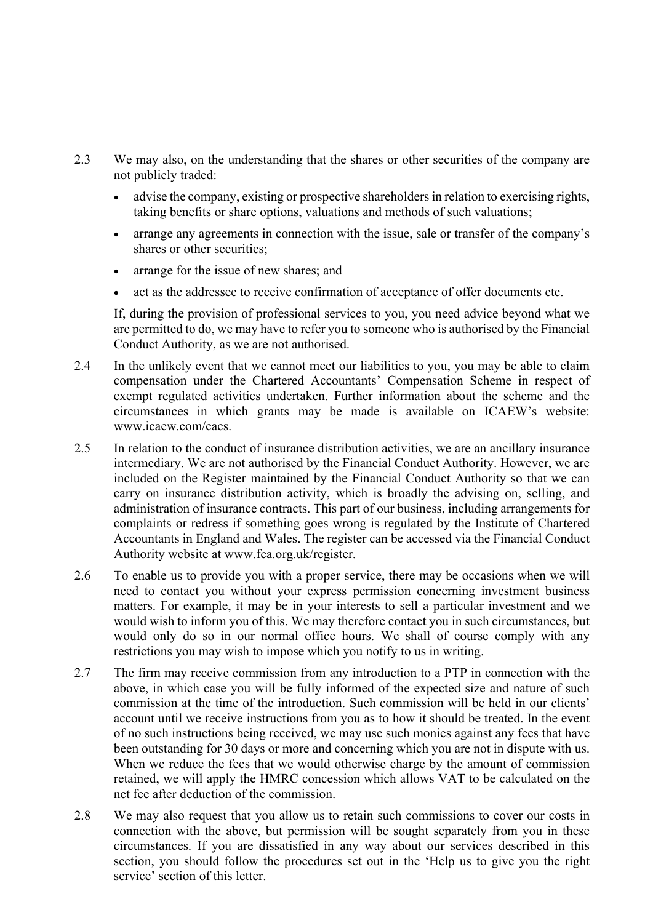- 2.3 We may also, on the understanding that the shares or other securities of the company are not publicly traded:
	- advise the company, existing or prospective shareholders in relation to exercising rights, taking benefits or share options, valuations and methods of such valuations;
	- arrange any agreements in connection with the issue, sale or transfer of the company's shares or other securities;
	- arrange for the issue of new shares; and
	- act as the addressee to receive confirmation of acceptance of offer documents etc.

 If, during the provision of professional services to you, you need advice beyond what we are permitted to do, we may have to refer you to someone who is authorised by the Financial Conduct Authority, as we are not authorised.

- 2.4 In the unlikely event that we cannot meet our liabilities to you, you may be able to claim compensation under the Chartered Accountants' Compensation Scheme in respect of exempt regulated activities undertaken. Further information about the scheme and the circumstances in which grants may be made is available on ICAEW's website: www.icaew.com/cacs.
- 2.5 In relation to the conduct of insurance distribution activities, we are an ancillary insurance intermediary. We are not authorised by the Financial Conduct Authority. However, we are included on the Register maintained by the Financial Conduct Authority so that we can carry on insurance distribution activity, which is broadly the advising on, selling, and administration of insurance contracts. This part of our business, including arrangements for complaints or redress if something goes wrong is regulated by the Institute of Chartered Accountants in England and Wales. The register can be accessed via the Financial Conduct Authority website at www.fca.org.uk/register.
- 2.6 To enable us to provide you with a proper service, there may be occasions when we will need to contact you without your express permission concerning investment business matters. For example, it may be in your interests to sell a particular investment and we would wish to inform you of this. We may therefore contact you in such circumstances, but would only do so in our normal office hours. We shall of course comply with any restrictions you may wish to impose which you notify to us in writing.
- 2.7 The firm may receive commission from any introduction to a PTP in connection with the above, in which case you will be fully informed of the expected size and nature of such commission at the time of the introduction. Such commission will be held in our clients' account until we receive instructions from you as to how it should be treated. In the event of no such instructions being received, we may use such monies against any fees that have been outstanding for 30 days or more and concerning which you are not in dispute with us. When we reduce the fees that we would otherwise charge by the amount of commission retained, we will apply the HMRC concession which allows VAT to be calculated on the net fee after deduction of the commission.
- 2.8 We may also request that you allow us to retain such commissions to cover our costs in connection with the above, but permission will be sought separately from you in these circumstances. If you are dissatisfied in any way about our services described in this section, you should follow the procedures set out in the 'Help us to give you the right service' section of this letter.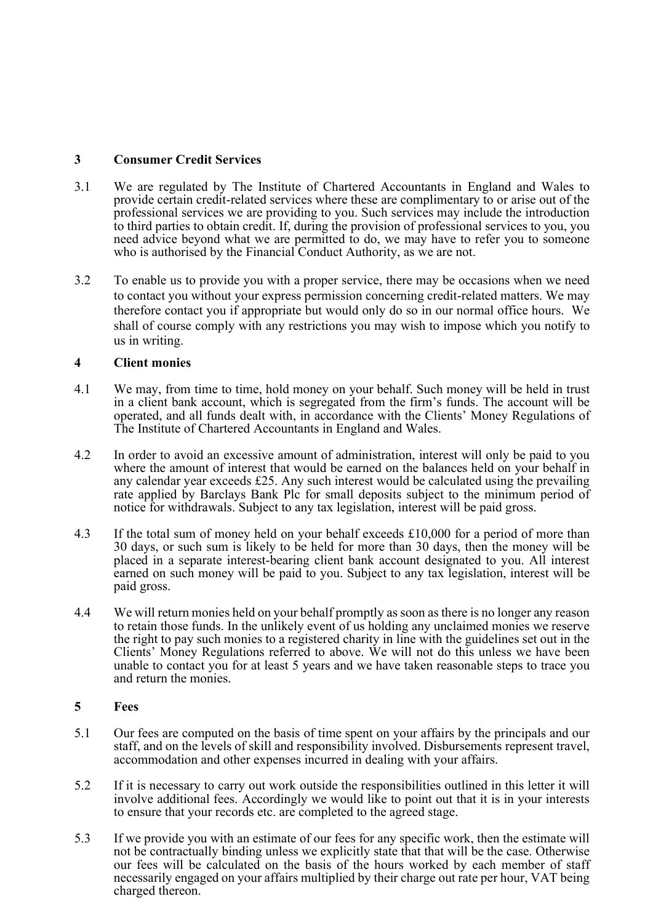# 3 Consumer Credit Services

- 3.1 We are regulated by The Institute of Chartered Accountants in England and Wales to provide certain credit-related services where these are complimentary to or arise out of the professional services we are providing to you. Such services may include the introduction to third parties to obtain credit. If, during the provision of professional services to you, you need advice beyond what we are permitted to do, we may have to refer you to someone who is authorised by the Financial Conduct Authority, as we are not.
- 3.2 To enable us to provide you with a proper service, there may be occasions when we need to contact you without your express permission concerning credit-related matters. We may therefore contact you if appropriate but would only do so in our normal office hours. We shall of course comply with any restrictions you may wish to impose which you notify to us in writing.

## 4 Client monies

- 4.1 We may, from time to time, hold money on your behalf. Such money will be held in trust in a client bank account, which is segregated from the firm's funds. The account will be operated, and all funds dealt with, in accordance with the Clients' Money Regulations of The Institute of Chartered Accountants in England and Wales.
- 4.2 In order to avoid an excessive amount of administration, interest will only be paid to you where the amount of interest that would be earned on the balances held on your behalf in any calendar year exceeds £25. Any such interest would be calculated using the prevailing rate applied by Barclays Bank Plc for small deposits subject to the minimum period of notice for withdrawals. Subject to any tax legislation, interest will be paid gross.
- 4.3 If the total sum of money held on your behalf exceeds £10,000 for a period of more than 30 days, or such sum is likely to be held for more than 30 days, then the money will be placed in a separate interest-bearing client bank account designated to you. All interest earned on such money will be paid to you. Subject to any tax legislation, interest will be paid gross.
- 4.4 We will return monies held on your behalf promptly as soon as there is no longer any reason to retain those funds. In the unlikely event of us holding any unclaimed monies we reserve the right to pay such monies to a registered charity in line with the guidelines set out in the Clients' Money Regulations referred to above. We will not do this unless we have been unable to contact you for at least 5 years and we have taken reasonable steps to trace you and return the monies.

## 5 Fees

- 5.1 Our fees are computed on the basis of time spent on your affairs by the principals and our staff, and on the levels of skill and responsibility involved. Disbursements represent travel, accommodation and other expenses incurred in dealing with your affairs.
- 5.2 If it is necessary to carry out work outside the responsibilities outlined in this letter it will involve additional fees. Accordingly we would like to point out that it is in your interests to ensure that your records etc. are completed to the agreed stage.
- 5.3 If we provide you with an estimate of our fees for any specific work, then the estimate will not be contractually binding unless we explicitly state that that will be the case. Otherwise our fees will be calculated on the basis of the hours worked by each member of staff necessarily engaged on your affairs multiplied by their charge out rate per hour, VAT being charged thereon.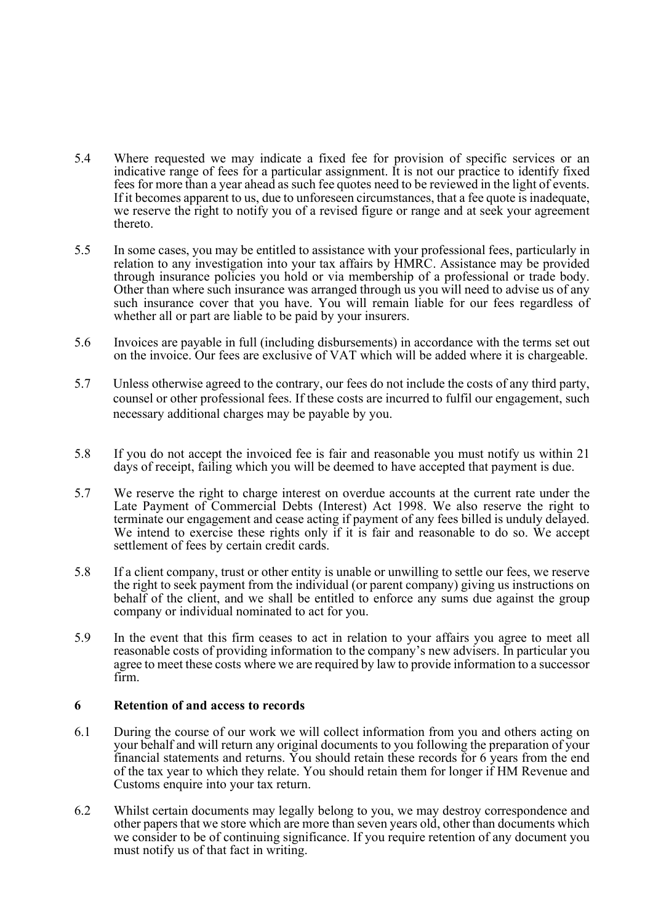- 5.4 Where requested we may indicate a fixed fee for provision of specific services or an indicative range of fees for a particular assignment. It is not our practice to identify fixed fees for more than a year ahead as such fee quotes need to be reviewed in the light of events. If it becomes apparent to us, due to unforeseen circumstances, that a fee quote is inadequate, we reserve the right to notify you of a revised figure or range and at seek your agreement thereto.
- 5.5 In some cases, you may be entitled to assistance with your professional fees, particularly in relation to any investigation into your tax affairs by HMRC. Assistance may be provided through insurance policies you hold or via membership of a professional or trade body. Other than where such insurance was arranged through us you will need to advise us of any such insurance cover that you have. You will remain liable for our fees regardless of whether all or part are liable to be paid by your insurers.
- 5.6 Invoices are payable in full (including disbursements) in accordance with the terms set out on the invoice. Our fees are exclusive of VAT which will be added where it is chargeable.
- 5.7 Unless otherwise agreed to the contrary, our fees do not include the costs of any third party, counsel or other professional fees. If these costs are incurred to fulfil our engagement, such necessary additional charges may be payable by you.
- 5.8 If you do not accept the invoiced fee is fair and reasonable you must notify us within 21 days of receipt, failing which you will be deemed to have accepted that payment is due.
- 5.7 We reserve the right to charge interest on overdue accounts at the current rate under the Late Payment of Commercial Debts (Interest) Act 1998. We also reserve the right to terminate our engagement and cease acting if payment of any fees billed is unduly delayed. We intend to exercise these rights only if it is fair and reasonable to do so. We accept settlement of fees by certain credit cards.
- 5.8 If a client company, trust or other entity is unable or unwilling to settle our fees, we reserve the right to seek payment from the individual (or parent company) giving us instructions on behalf of the client, and we shall be entitled to enforce any sums due against the group company or individual nominated to act for you.
- 5.9 In the event that this firm ceases to act in relation to your affairs you agree to meet all reasonable costs of providing information to the company's new advisers. In particular you agree to meet these costs where we are required by law to provide information to a successor firm.

#### 6 Retention of and access to records

- 6.1 During the course of our work we will collect information from you and others acting on your behalf and will return any original documents to you following the preparation of your financial statements and returns. You should retain these records for 6 years from the end of the tax year to which they relate. You should retain them for longer if HM Revenue and Customs enquire into your tax return.
- 6.2 Whilst certain documents may legally belong to you, we may destroy correspondence and other papers that we store which are more than seven years old, other than documents which we consider to be of continuing significance. If you require retention of any document you must notify us of that fact in writing.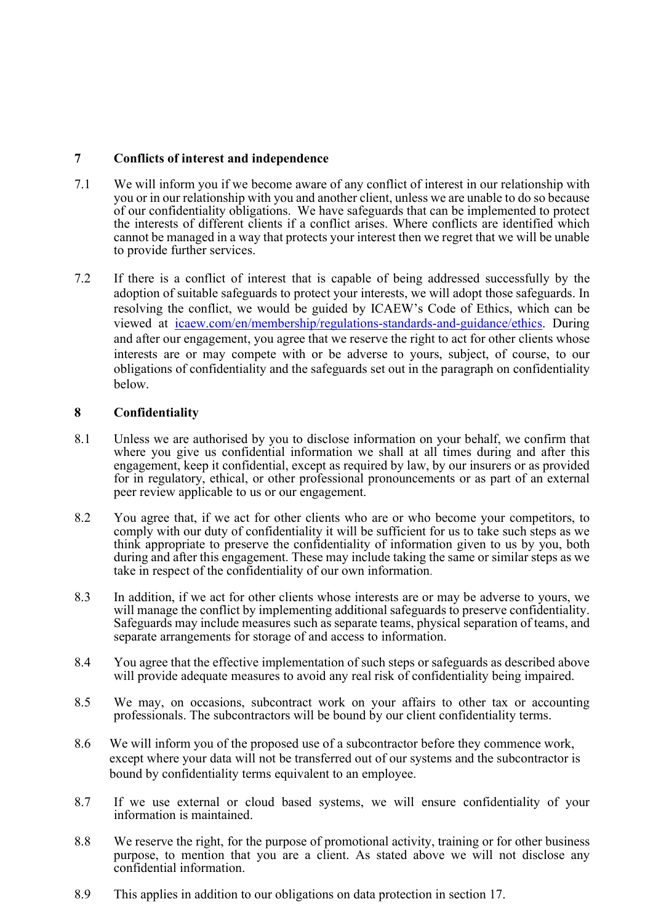## 7 Conflicts of interest and independence

- 7.1 We will inform you if we become aware of any conflict of interest in our relationship with you or in our relationship with you and another client, unless we are unable to do so because of our confidentiality obligations. We have safeguards that can be implemented to protect the interests of different clients if a conflict arises. Where conflicts are identified which cannot be managed in a way that protects your interest then we regret that we will be unable to provide further services.
- 7.2 If there is a conflict of interest that is capable of being addressed successfully by the adoption of suitable safeguards to protect your interests, we will adopt those safeguards. In resolving the conflict, we would be guided by ICAEW's Code of Ethics, which can be viewed at icaew.com/en/membership/regulations-standards-and-guidance/ethics. During and after our engagement, you agree that we reserve the right to act for other clients whose interests are or may compete with or be adverse to yours, subject, of course, to our obligations of confidentiality and the safeguards set out in the paragraph on confidentiality below.

# 8 Confidentiality

- 8.1 Unless we are authorised by you to disclose information on your behalf, we confirm that where you give us confidential information we shall at all times during and after this engagement, keep it confidential, except as required by law, by our insurers or as provided for in regulatory, ethical, or other professional pronouncements or as part of an external peer review applicable to us or our engagement.
- 8.2 You agree that, if we act for other clients who are or who become your competitors, to comply with our duty of confidentiality it will be sufficient for us to take such steps as we think appropriate to preserve the confidentiality of information given to us by you, both during and after this engagement. These may include taking the same or similar steps as we take in respect of the confidentiality of our own information.
- 8.3 In addition, if we act for other clients whose interests are or may be adverse to yours, we will manage the conflict by implementing additional safeguards to preserve confidentiality. Safeguards may include measures such as separate teams, physical separation of teams, and separate arrangements for storage of and access to information.
- 8.4 You agree that the effective implementation of such steps or safeguards as described above will provide adequate measures to avoid any real risk of confidentiality being impaired.
- 8.5 We may, on occasions, subcontract work on your affairs to other tax or accounting professionals. The subcontractors will be bound by our client confidentiality terms.
- 8.6 We will inform you of the proposed use of a subcontractor before they commence work, except where your data will not be transferred out of our systems and the subcontractor is bound by confidentiality terms equivalent to an employee.
- 8.7 If we use external or cloud based systems, we will ensure confidentiality of your information is maintained.
- 8.8 We reserve the right, for the purpose of promotional activity, training or for other business purpose, to mention that you are a client. As stated above we will not disclose any confidential information.
- 8.9 This applies in addition to our obligations on data protection in section 17.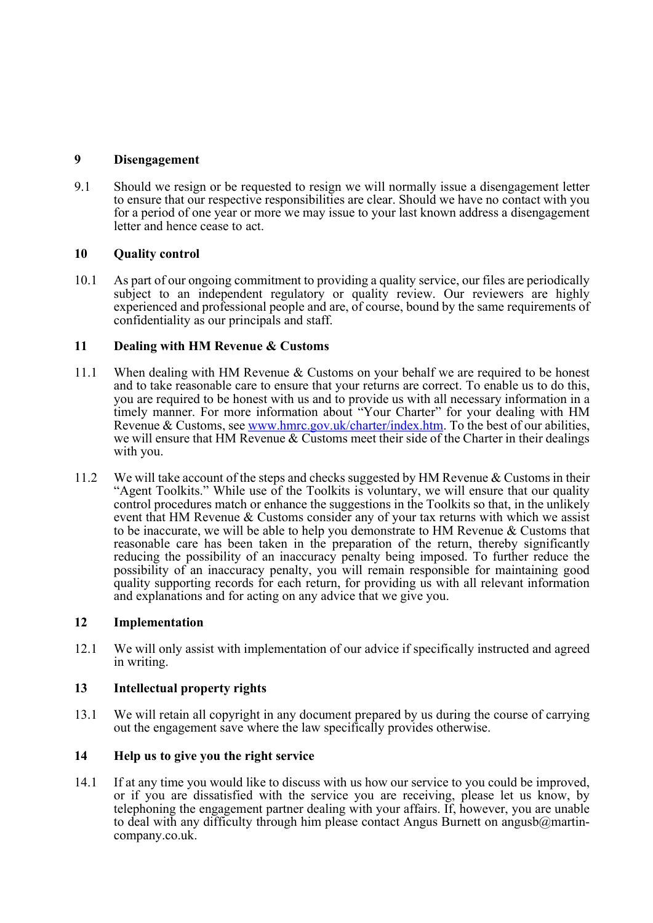## 9 Disengagement

9.1 Should we resign or be requested to resign we will normally issue a disengagement letter to ensure that our respective responsibilities are clear. Should we have no contact with you for a period of one year or more we may issue to your last known address a disengagement letter and hence cease to act.

# 10 Quality control

10.1 As part of our ongoing commitment to providing a quality service, our files are periodically subject to an independent regulatory or quality review. Our reviewers are highly experienced and professional people and are, of course, bound by the same requirements of confidentiality as our principals and staff.

## 11 Dealing with HM Revenue & Customs

- 11.1 When dealing with HM Revenue & Customs on your behalf we are required to be honest and to take reasonable care to ensure that your returns are correct. To enable us to do this, you are required to be honest with us and to provide us with all necessary information in a timely manner. For more information about "Your Charter" for your dealing with HM Revenue & Customs, see www.hmrc.gov.uk/charter/index.htm. To the best of our abilities, we will ensure that HM Revenue & Customs meet their side of the Charter in their dealings with you.
- 11.2 We will take account of the steps and checks suggested by HM Revenue & Customs in their "Agent Toolkits." While use of the Toolkits is voluntary, we will ensure that our quality control procedures match or enhance the suggestions in the Toolkits so that, in the unlikely event that HM Revenue & Customs consider any of your tax returns with which we assist to be inaccurate, we will be able to help you demonstrate to HM Revenue & Customs that reasonable care has been taken in the preparation of the return, thereby significantly reducing the possibility of an inaccuracy penalty being imposed. To further reduce the possibility of an inaccuracy penalty, you will remain responsible for maintaining good quality supporting records for each return, for providing us with all relevant information and explanations and for acting on any advice that we give you.

## 12 Implementation

12.1 We will only assist with implementation of our advice if specifically instructed and agreed in writing.

# 13 Intellectual property rights

13.1 We will retain all copyright in any document prepared by us during the course of carrying out the engagement save where the law specifically provides otherwise.

# 14 Help us to give you the right service

14.1 If at any time you would like to discuss with us how our service to you could be improved, or if you are dissatisfied with the service you are receiving, please let us know, by telephoning the engagement partner dealing with your affairs. If, however, you are unable to deal with any difficulty through him please contact Angus Burnett on angusb $@$ martincompany.co.uk.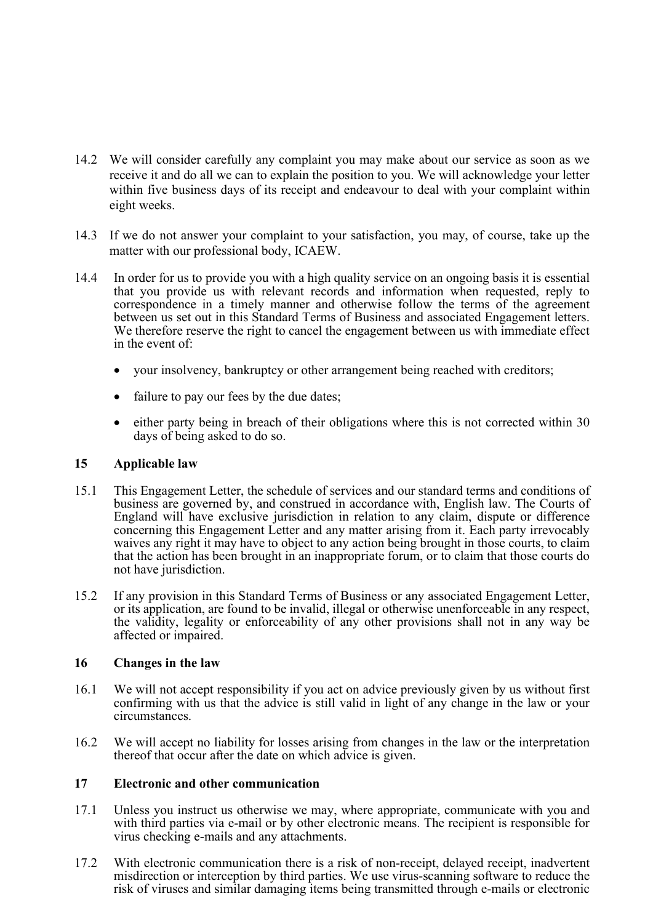- 14.2 We will consider carefully any complaint you may make about our service as soon as we receive it and do all we can to explain the position to you. We will acknowledge your letter within five business days of its receipt and endeavour to deal with your complaint within eight weeks.
- 14.3 If we do not answer your complaint to your satisfaction, you may, of course, take up the matter with our professional body, ICAEW.
- 14.4 In order for us to provide you with a high quality service on an ongoing basis it is essential that you provide us with relevant records and information when requested, reply to correspondence in a timely manner and otherwise follow the terms of the agreement between us set out in this Standard Terms of Business and associated Engagement letters. We therefore reserve the right to cancel the engagement between us with immediate effect in the event of:
	- your insolvency, bankruptcy or other arrangement being reached with creditors;
	- failure to pay our fees by the due dates;
	- either party being in breach of their obligations where this is not corrected within 30 days of being asked to do so.

#### 15 Applicable law

- 15.1 This Engagement Letter, the schedule of services and our standard terms and conditions of business are governed by, and construed in accordance with, English law. The Courts of England will have exclusive jurisdiction in relation to any claim, dispute or difference concerning this Engagement Letter and any matter arising from it. Each party irrevocably waives any right it may have to object to any action being brought in those courts, to claim that the action has been brought in an inappropriate forum, or to claim that those courts do not have jurisdiction.
- 15.2 If any provision in this Standard Terms of Business or any associated Engagement Letter, or its application, are found to be invalid, illegal or otherwise unenforceable in any respect, the validity, legality or enforceability of any other provisions shall not in any way be affected or impaired.

#### 16 Changes in the law

- 16.1 We will not accept responsibility if you act on advice previously given by us without first confirming with us that the advice is still valid in light of any change in the law or your circumstances.
- 16.2 We will accept no liability for losses arising from changes in the law or the interpretation thereof that occur after the date on which advice is given.

#### 17 Electronic and other communication

- 17.1 Unless you instruct us otherwise we may, where appropriate, communicate with you and with third parties via e-mail or by other electronic means. The recipient is responsible for virus checking e-mails and any attachments.
- 17.2 With electronic communication there is a risk of non-receipt, delayed receipt, inadvertent misdirection or interception by third parties. We use virus-scanning software to reduce the risk of viruses and similar damaging items being transmitted through e-mails or electronic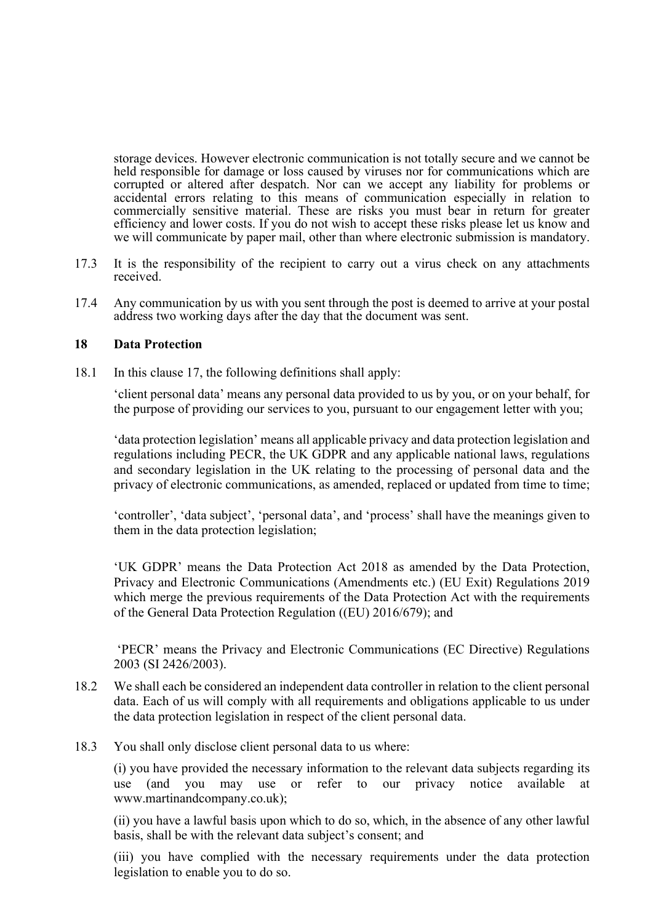storage devices. However electronic communication is not totally secure and we cannot be held responsible for damage or loss caused by viruses nor for communications which are corrupted or altered after despatch. Nor can we accept any liability for problems or accidental errors relating to this means of communication especially in relation to commercially sensitive material. These are risks you must bear in return for greater efficiency and lower costs. If you do not wish to accept these risks please let us know and we will communicate by paper mail, other than where electronic submission is mandatory.

- 17.3 It is the responsibility of the recipient to carry out a virus check on any attachments received.
- 17.4 Any communication by us with you sent through the post is deemed to arrive at your postal address two working days after the day that the document was sent.

#### 18 Data Protection

18.1 In this clause 17, the following definitions shall apply:

'client personal data' means any personal data provided to us by you, or on your behalf, for the purpose of providing our services to you, pursuant to our engagement letter with you;

'data protection legislation' means all applicable privacy and data protection legislation and regulations including PECR, the UK GDPR and any applicable national laws, regulations and secondary legislation in the UK relating to the processing of personal data and the privacy of electronic communications, as amended, replaced or updated from time to time;

'controller', 'data subject', 'personal data', and 'process' shall have the meanings given to them in the data protection legislation;

'UK GDPR' means the Data Protection Act 2018 as amended by the Data Protection, Privacy and Electronic Communications (Amendments etc.) (EU Exit) Regulations 2019 which merge the previous requirements of the Data Protection Act with the requirements of the General Data Protection Regulation ((EU) 2016/679); and

 'PECR' means the Privacy and Electronic Communications (EC Directive) Regulations 2003 (SI 2426/2003).

- 18.2 We shall each be considered an independent data controller in relation to the client personal data. Each of us will comply with all requirements and obligations applicable to us under the data protection legislation in respect of the client personal data.
- 18.3 You shall only disclose client personal data to us where:

(i) you have provided the necessary information to the relevant data subjects regarding its use (and you may use or refer to our privacy notice available at www.martinandcompany.co.uk);

(ii) you have a lawful basis upon which to do so, which, in the absence of any other lawful basis, shall be with the relevant data subject's consent; and

(iii) you have complied with the necessary requirements under the data protection legislation to enable you to do so.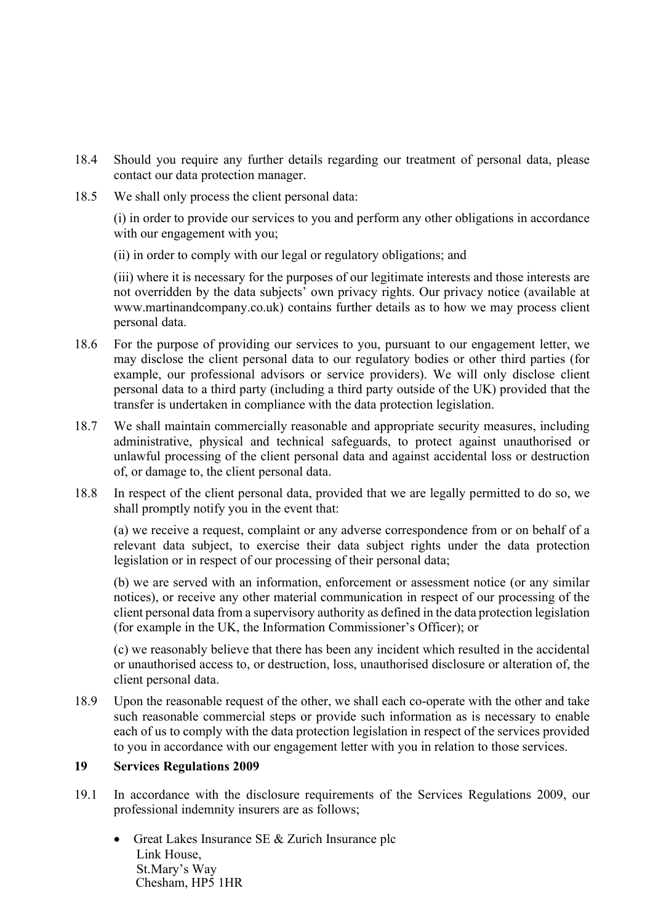- 18.4 Should you require any further details regarding our treatment of personal data, please contact our data protection manager.
- 18.5 We shall only process the client personal data:

(i) in order to provide our services to you and perform any other obligations in accordance with our engagement with you;

(ii) in order to comply with our legal or regulatory obligations; and

(iii) where it is necessary for the purposes of our legitimate interests and those interests are not overridden by the data subjects' own privacy rights. Our privacy notice (available at www.martinandcompany.co.uk) contains further details as to how we may process client personal data.

- 18.6 For the purpose of providing our services to you, pursuant to our engagement letter, we may disclose the client personal data to our regulatory bodies or other third parties (for example, our professional advisors or service providers). We will only disclose client personal data to a third party (including a third party outside of the UK) provided that the transfer is undertaken in compliance with the data protection legislation.
- 18.7 We shall maintain commercially reasonable and appropriate security measures, including administrative, physical and technical safeguards, to protect against unauthorised or unlawful processing of the client personal data and against accidental loss or destruction of, or damage to, the client personal data.
- 18.8 In respect of the client personal data, provided that we are legally permitted to do so, we shall promptly notify you in the event that:

(a) we receive a request, complaint or any adverse correspondence from or on behalf of a relevant data subject, to exercise their data subject rights under the data protection legislation or in respect of our processing of their personal data;

(b) we are served with an information, enforcement or assessment notice (or any similar notices), or receive any other material communication in respect of our processing of the client personal data from a supervisory authority as defined in the data protection legislation (for example in the UK, the Information Commissioner's Officer); or

(c) we reasonably believe that there has been any incident which resulted in the accidental or unauthorised access to, or destruction, loss, unauthorised disclosure or alteration of, the client personal data.

18.9 Upon the reasonable request of the other, we shall each co-operate with the other and take such reasonable commercial steps or provide such information as is necessary to enable each of us to comply with the data protection legislation in respect of the services provided to you in accordance with our engagement letter with you in relation to those services.

## 19 Services Regulations 2009

- 19.1 In accordance with the disclosure requirements of the Services Regulations 2009, our professional indemnity insurers are as follows;
	- Great Lakes Insurance SE & Zurich Insurance plc Link House, St.Mary's Way Chesham, HP5 1HR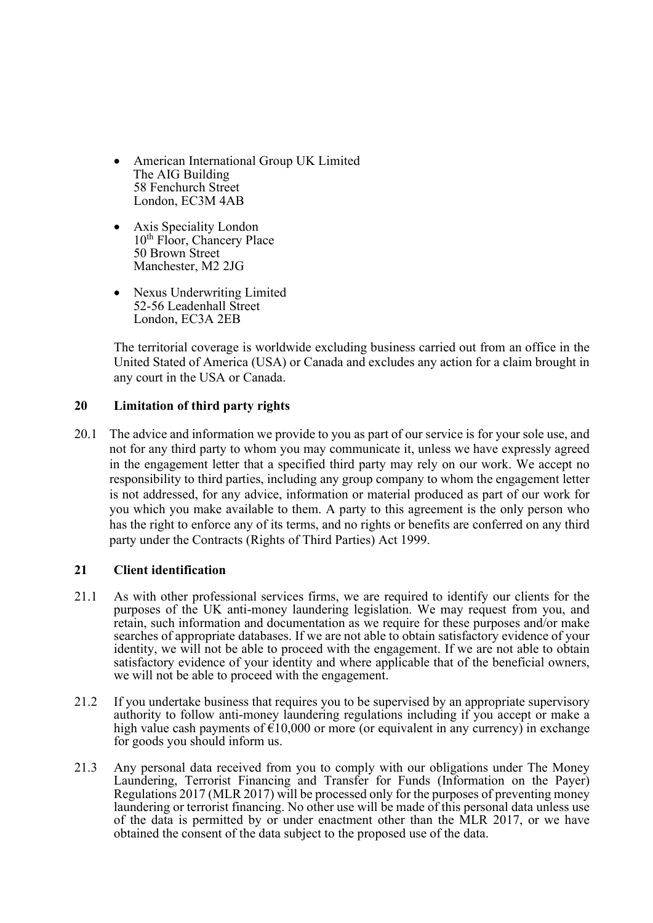- American International Group UK Limited The AIG Building 58 Fenchurch Street London, EC3M 4AB
- Axis Speciality London 10<sup>th</sup> Floor, Chancery Place 50 Brown Street Manchester, M2 2JG
- Nexus Underwriting Limited 52-56 Leadenhall Street London, EC3A 2EB

 The territorial coverage is worldwide excluding business carried out from an office in the United Stated of America (USA) or Canada and excludes any action for a claim brought in any court in the USA or Canada.

## 20 Limitation of third party rights

20.1 The advice and information we provide to you as part of our service is for your sole use, and not for any third party to whom you may communicate it, unless we have expressly agreed in the engagement letter that a specified third party may rely on our work. We accept no responsibility to third parties, including any group company to whom the engagement letter is not addressed, for any advice, information or material produced as part of our work for you which you make available to them. A party to this agreement is the only person who has the right to enforce any of its terms, and no rights or benefits are conferred on any third party under the Contracts (Rights of Third Parties) Act 1999.

# 21 Client identification

- 21.1 As with other professional services firms, we are required to identify our clients for the purposes of the UK anti-money laundering legislation. We may request from you, and retain, such information and documentation as we require for these purposes and/or make searches of appropriate databases. If we are not able to obtain satisfactory evidence of your identity, we will not be able to proceed with the engagement. If we are not able to obtain satisfactory evidence of your identity and where applicable that of the beneficial owners, we will not be able to proceed with the engagement.
- 21.2 If you undertake business that requires you to be supervised by an appropriate supervisory authority to follow anti-money laundering regulations including if you accept or make a high value cash payments of  $\epsilon 10,000$  or more (or equivalent in any currency) in exchange for goods you should inform us.
- 21.3 Any personal data received from you to comply with our obligations under The Money Laundering, Terrorist Financing and Transfer for Funds (Information on the Payer) Regulations 2017 (MLR 2017) will be processed only for the purposes of preventing money laundering or terrorist financing. No other use will be made of this personal data unless use of the data is permitted by or under enactment other than the MLR 2017, or we have obtained the consent of the data subject to the proposed use of the data.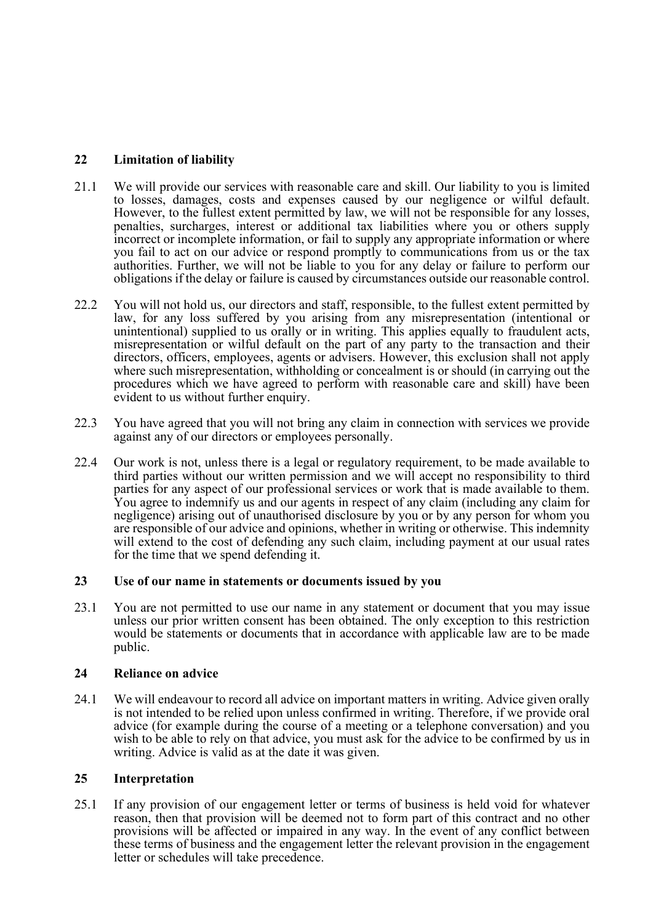# 22 Limitation of liability

- 21.1 We will provide our services with reasonable care and skill. Our liability to you is limited to losses, damages, costs and expenses caused by our negligence or wilful default. However, to the fullest extent permitted by law, we will not be responsible for any losses, penalties, surcharges, interest or additional tax liabilities where you or others supply incorrect or incomplete information, or fail to supply any appropriate information or where you fail to act on our advice or respond promptly to communications from us or the tax authorities. Further, we will not be liable to you for any delay or failure to perform our obligations if the delay or failure is caused by circumstances outside our reasonable control.
- 22.2 You will not hold us, our directors and staff, responsible, to the fullest extent permitted by law, for any loss suffered by you arising from any misrepresentation (intentional or unintentional) supplied to us orally or in writing. This applies equally to fraudulent acts, misrepresentation or wilful default on the part of any party to the transaction and their directors, officers, employees, agents or advisers. However, this exclusion shall not apply where such misrepresentation, withholding or concealment is or should (in carrying out the procedures which we have agreed to perform with reasonable care and skill) have been evident to us without further enquiry.
- 22.3 You have agreed that you will not bring any claim in connection with services we provide against any of our directors or employees personally.
- 22.4 Our work is not, unless there is a legal or regulatory requirement, to be made available to third parties without our written permission and we will accept no responsibility to third parties for any aspect of our professional services or work that is made available to them. You agree to indemnify us and our agents in respect of any claim (including any claim for negligence) arising out of unauthorised disclosure by you or by any person for whom you are responsible of our advice and opinions, whether in writing or otherwise. This indemnity will extend to the cost of defending any such claim, including payment at our usual rates for the time that we spend defending it.

## 23 Use of our name in statements or documents issued by you

23.1 You are not permitted to use our name in any statement or document that you may issue unless our prior written consent has been obtained. The only exception to this restriction would be statements or documents that in accordance with applicable law are to be made public.

## 24 Reliance on advice

24.1 We will endeavour to record all advice on important matters in writing. Advice given orally is not intended to be relied upon unless confirmed in writing. Therefore, if we provide oral advice (for example during the course of a meeting or a telephone conversation) and you wish to be able to rely on that advice, you must ask for the advice to be confirmed by us in writing. Advice is valid as at the date it was given.

#### 25 Interpretation

25.1 If any provision of our engagement letter or terms of business is held void for whatever reason, then that provision will be deemed not to form part of this contract and no other provisions will be affected or impaired in any way. In the event of any conflict between these terms of business and the engagement letter the relevant provision in the engagement letter or schedules will take precedence.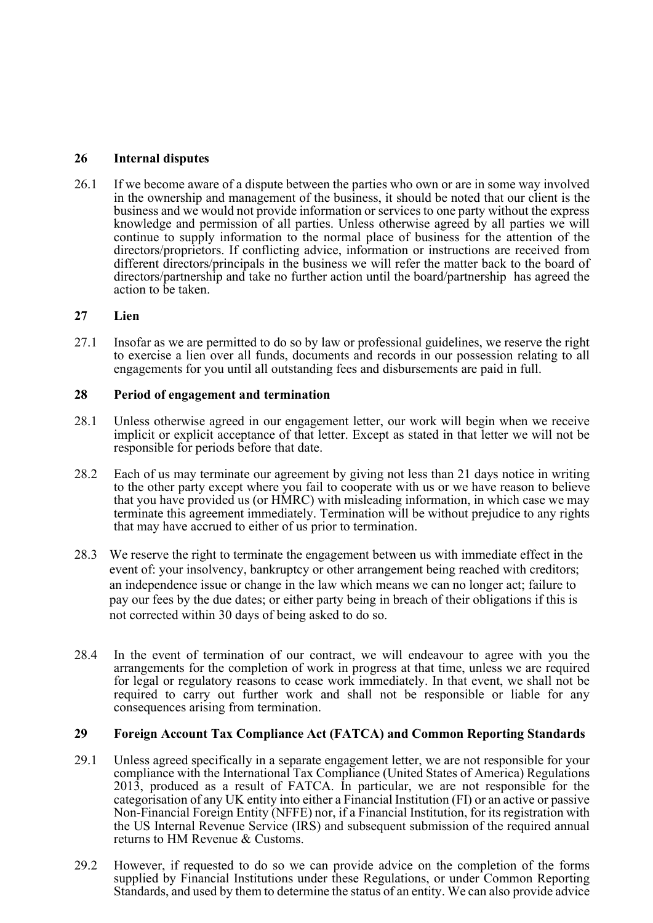## 26 Internal disputes

26.1 If we become aware of a dispute between the parties who own or are in some way involved in the ownership and management of the business, it should be noted that our client is the business and we would not provide information or services to one party without the express knowledge and permission of all parties. Unless otherwise agreed by all parties we will continue to supply information to the normal place of business for the attention of the directors/proprietors. If conflicting advice, information or instructions are received from different directors/principals in the business we will refer the matter back to the board of directors/partnership and take no further action until the board/partnership has agreed the action to be taken.

## 27 Lien

27.1 Insofar as we are permitted to do so by law or professional guidelines, we reserve the right to exercise a lien over all funds, documents and records in our possession relating to all engagements for you until all outstanding fees and disbursements are paid in full.

#### 28 Period of engagement and termination

- 28.1 Unless otherwise agreed in our engagement letter, our work will begin when we receive implicit or explicit acceptance of that letter. Except as stated in that letter we will not be responsible for periods before that date.
- 28.2 Each of us may terminate our agreement by giving not less than 21 days notice in writing to the other party except where you fail to cooperate with us or we have reason to believe that you have provided us (or HMRC) with misleading information, in which case we may terminate this agreement immediately. Termination will be without prejudice to any rights that may have accrued to either of us prior to termination.
- 28.3 We reserve the right to terminate the engagement between us with immediate effect in the event of: your insolvency, bankruptcy or other arrangement being reached with creditors; an independence issue or change in the law which means we can no longer act; failure to pay our fees by the due dates; or either party being in breach of their obligations if this is not corrected within 30 days of being asked to do so.
- 28.4 In the event of termination of our contract, we will endeavour to agree with you the arrangements for the completion of work in progress at that time, unless we are required for legal or regulatory reasons to cease work immediately. In that event, we shall not be required to carry out further work and shall not be responsible or liable for any consequences arising from termination.

#### 29 Foreign Account Tax Compliance Act (FATCA) and Common Reporting Standards

- 29.1 Unless agreed specifically in a separate engagement letter, we are not responsible for your compliance with the International Tax Compliance (United States of America) Regulations 2013, produced as a result of FATCA. In particular, we are not responsible for the categorisation of any UK entity into either a Financial Institution (FI) or an active or passive Non-Financial Foreign Entity (NFFE) nor, if a Financial Institution, for its registration with the US Internal Revenue Service (IRS) and subsequent submission of the required annual returns to HM Revenue & Customs.
- 29.2 However, if requested to do so we can provide advice on the completion of the forms supplied by Financial Institutions under these Regulations, or under Common Reporting Standards, and used by them to determine the status of an entity. We can also provide advice